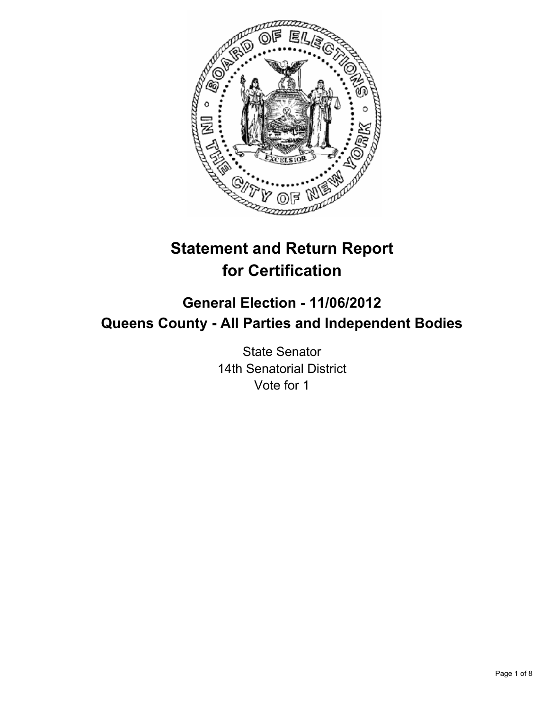

# **Statement and Return Report for Certification**

# **General Election - 11/06/2012 Queens County - All Parties and Independent Bodies**

State Senator 14th Senatorial District Vote for 1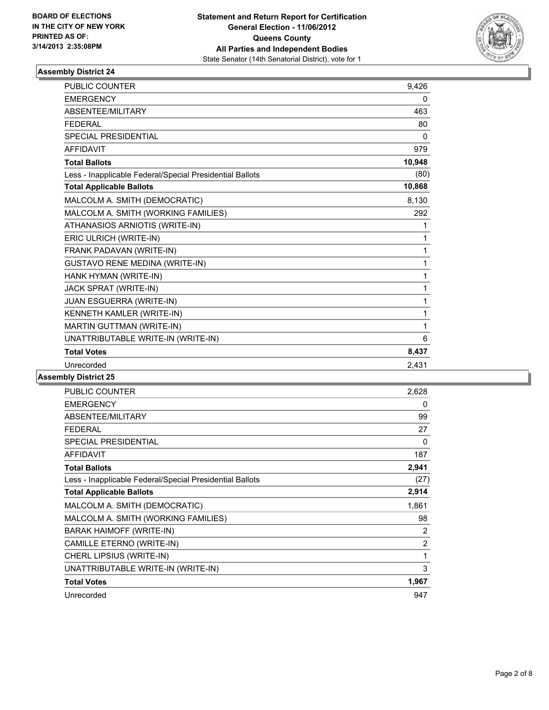

| <b>PUBLIC COUNTER</b>                                    | 9,426  |
|----------------------------------------------------------|--------|
| <b>EMERGENCY</b>                                         | 0      |
| ABSENTEE/MILITARY                                        | 463    |
| <b>FEDERAL</b>                                           | 80     |
| <b>SPECIAL PRESIDENTIAL</b>                              | 0      |
| <b>AFFIDAVIT</b>                                         | 979    |
| <b>Total Ballots</b>                                     | 10,948 |
| Less - Inapplicable Federal/Special Presidential Ballots | (80)   |
| <b>Total Applicable Ballots</b>                          | 10,868 |
| MALCOLM A. SMITH (DEMOCRATIC)                            | 8,130  |
| MALCOLM A. SMITH (WORKING FAMILIES)                      | 292    |
| ATHANASIOS ARNIOTIS (WRITE-IN)                           | 1      |
| ERIC ULRICH (WRITE-IN)                                   | 1      |
| FRANK PADAVAN (WRITE-IN)                                 | 1      |
| <b>GUSTAVO RENE MEDINA (WRITE-IN)</b>                    | 1      |
| HANK HYMAN (WRITE-IN)                                    | 1      |
| JACK SPRAT (WRITE-IN)                                    | 1      |
| JUAN ESGUERRA (WRITE-IN)                                 | 1      |
| KENNETH KAMLER (WRITE-IN)                                | 1      |
| <b>MARTIN GUTTMAN (WRITE-IN)</b>                         | 1      |
| UNATTRIBUTABLE WRITE-IN (WRITE-IN)                       | 6      |
| <b>Total Votes</b>                                       | 8,437  |
| Unrecorded                                               | 2,431  |

| <b>PUBLIC COUNTER</b>                                    | 2,628 |
|----------------------------------------------------------|-------|
| <b>EMERGENCY</b>                                         | 0     |
| ABSENTEE/MILITARY                                        | 99    |
| <b>FEDERAL</b>                                           | 27    |
| <b>SPECIAL PRESIDENTIAL</b>                              | 0     |
| <b>AFFIDAVIT</b>                                         | 187   |
| <b>Total Ballots</b>                                     | 2,941 |
| Less - Inapplicable Federal/Special Presidential Ballots | (27)  |
| <b>Total Applicable Ballots</b>                          | 2,914 |
| MALCOLM A. SMITH (DEMOCRATIC)                            | 1,861 |
| MALCOLM A. SMITH (WORKING FAMILIES)                      | 98    |
| <b>BARAK HAIMOFF (WRITE-IN)</b>                          | 2     |
| CAMILLE ETERNO (WRITE-IN)                                | 2     |
| CHERL LIPSIUS (WRITE-IN)                                 | 1     |
| UNATTRIBUTABLE WRITE-IN (WRITE-IN)                       | 3     |
| <b>Total Votes</b>                                       | 1,967 |
| Unrecorded                                               | 947   |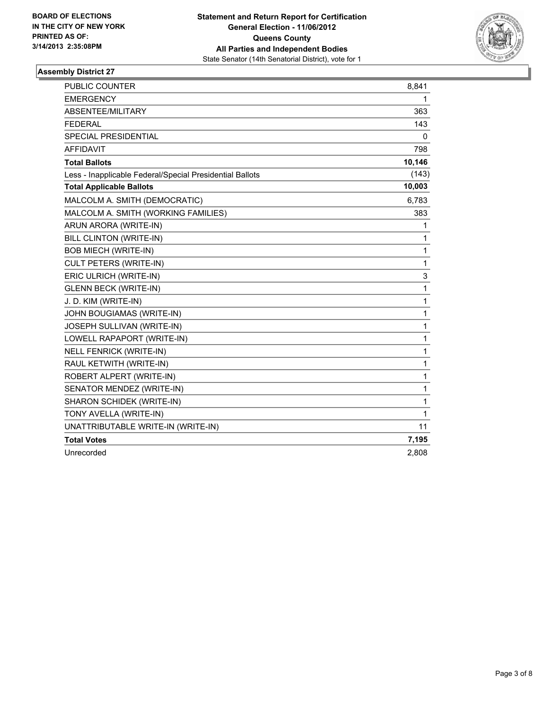

| <b>PUBLIC COUNTER</b>                                    | 8,841  |
|----------------------------------------------------------|--------|
| <b>EMERGENCY</b>                                         | 1      |
| ABSENTEE/MILITARY                                        | 363    |
| <b>FEDERAL</b>                                           | 143    |
| <b>SPECIAL PRESIDENTIAL</b>                              | 0      |
| <b>AFFIDAVIT</b>                                         | 798    |
| <b>Total Ballots</b>                                     | 10,146 |
| Less - Inapplicable Federal/Special Presidential Ballots | (143)  |
| <b>Total Applicable Ballots</b>                          | 10,003 |
| MALCOLM A. SMITH (DEMOCRATIC)                            | 6,783  |
| MALCOLM A. SMITH (WORKING FAMILIES)                      | 383    |
| ARUN ARORA (WRITE-IN)                                    | 1      |
| <b>BILL CLINTON (WRITE-IN)</b>                           | 1      |
| <b>BOB MIECH (WRITE-IN)</b>                              | 1      |
| <b>CULT PETERS (WRITE-IN)</b>                            | 1      |
| ERIC ULRICH (WRITE-IN)                                   | 3      |
| <b>GLENN BECK (WRITE-IN)</b>                             | 1      |
| J. D. KIM (WRITE-IN)                                     | 1      |
| JOHN BOUGIAMAS (WRITE-IN)                                | 1      |
| JOSEPH SULLIVAN (WRITE-IN)                               | 1      |
| LOWELL RAPAPORT (WRITE-IN)                               | 1      |
| <b>NELL FENRICK (WRITE-IN)</b>                           | 1      |
| RAUL KETWITH (WRITE-IN)                                  | 1      |
| ROBERT ALPERT (WRITE-IN)                                 | 1      |
| SENATOR MENDEZ (WRITE-IN)                                | 1      |
| SHARON SCHIDEK (WRITE-IN)                                | 1      |
| TONY AVELLA (WRITE-IN)                                   | 1      |
| UNATTRIBUTABLE WRITE-IN (WRITE-IN)                       | 11     |
| <b>Total Votes</b>                                       | 7,195  |
| Unrecorded                                               | 2,808  |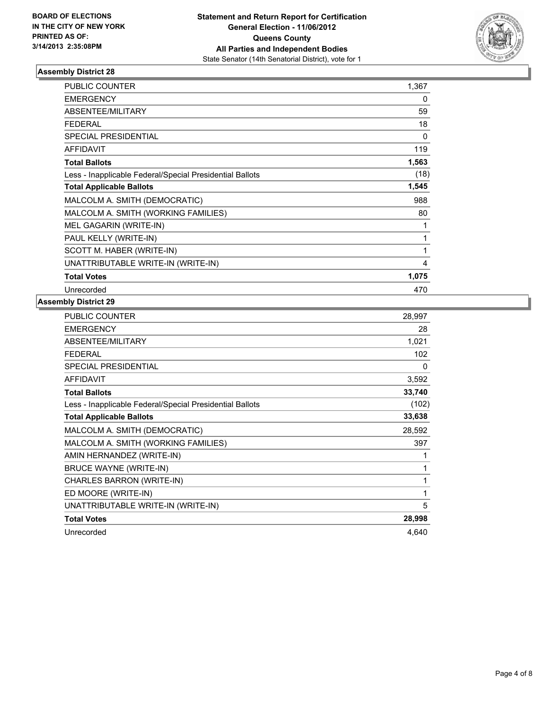

| <b>PUBLIC COUNTER</b>                                    | 1,367 |
|----------------------------------------------------------|-------|
| <b>EMERGENCY</b>                                         | 0     |
| <b>ABSENTEE/MILITARY</b>                                 | 59    |
| <b>FEDERAL</b>                                           | 18    |
| <b>SPECIAL PRESIDENTIAL</b>                              | 0     |
| <b>AFFIDAVIT</b>                                         | 119   |
| <b>Total Ballots</b>                                     | 1,563 |
| Less - Inapplicable Federal/Special Presidential Ballots | (18)  |
| <b>Total Applicable Ballots</b>                          | 1,545 |
| MALCOLM A. SMITH (DEMOCRATIC)                            | 988   |
| MALCOLM A. SMITH (WORKING FAMILIES)                      | 80    |
| MEL GAGARIN (WRITE-IN)                                   | 1     |
| PAUL KELLY (WRITE-IN)                                    | 1     |
| SCOTT M. HABER (WRITE-IN)                                | 1     |
| UNATTRIBUTABLE WRITE-IN (WRITE-IN)                       | 4     |
| <b>Total Votes</b>                                       | 1,075 |
| Unrecorded                                               | 470   |

| PUBLIC COUNTER                                           | 28,997 |
|----------------------------------------------------------|--------|
| <b>EMERGENCY</b>                                         | 28     |
| <b>ABSENTEE/MILITARY</b>                                 | 1,021  |
| <b>FEDERAL</b>                                           | 102    |
| <b>SPECIAL PRESIDENTIAL</b>                              | 0      |
| <b>AFFIDAVIT</b>                                         | 3,592  |
| <b>Total Ballots</b>                                     | 33,740 |
| Less - Inapplicable Federal/Special Presidential Ballots | (102)  |
| <b>Total Applicable Ballots</b>                          | 33,638 |
| MALCOLM A. SMITH (DEMOCRATIC)                            | 28,592 |
| MALCOLM A. SMITH (WORKING FAMILIES)                      | 397    |
| AMIN HERNANDEZ (WRITE-IN)                                | 1      |
| BRUCE WAYNE (WRITE-IN)                                   | 1      |
| CHARLES BARRON (WRITE-IN)                                | 1      |
| ED MOORE (WRITE-IN)                                      | 1      |
| UNATTRIBUTABLE WRITE-IN (WRITE-IN)                       | 5      |
| <b>Total Votes</b>                                       | 28,998 |
| Unrecorded                                               | 4,640  |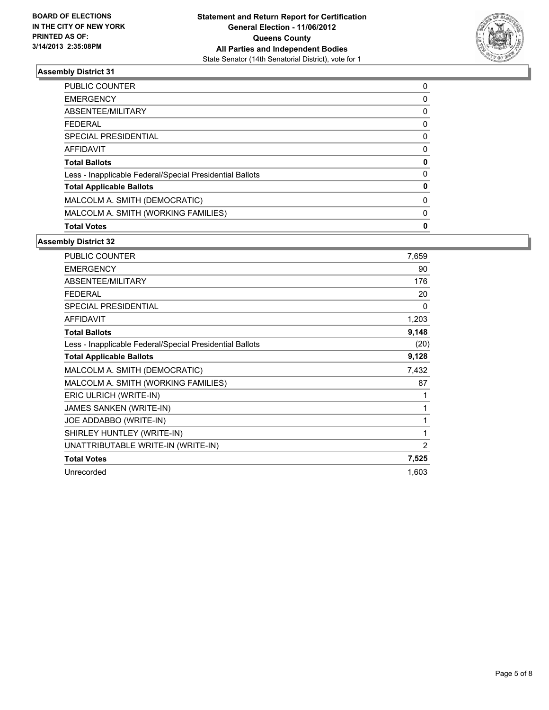

| <b>Total Votes</b>                                       | 0 |
|----------------------------------------------------------|---|
| MALCOLM A. SMITH (WORKING FAMILIES)                      | 0 |
| MALCOLM A. SMITH (DEMOCRATIC)                            | 0 |
| <b>Total Applicable Ballots</b>                          | 0 |
| Less - Inapplicable Federal/Special Presidential Ballots | 0 |
| <b>Total Ballots</b>                                     | 0 |
| AFFIDAVIT                                                | 0 |
| SPECIAL PRESIDENTIAL                                     | 0 |
| <b>FEDERAL</b>                                           | 0 |
| ABSENTEE/MILITARY                                        | 0 |
| <b>EMERGENCY</b>                                         | 0 |
| PUBLIC COUNTER                                           | 0 |

| PUBLIC COUNTER                                           | 7,659          |
|----------------------------------------------------------|----------------|
| <b>EMERGENCY</b>                                         | 90             |
| <b>ABSENTEE/MILITARY</b>                                 | 176            |
| <b>FEDERAL</b>                                           | 20             |
| <b>SPECIAL PRESIDENTIAL</b>                              | 0              |
| <b>AFFIDAVIT</b>                                         | 1,203          |
| <b>Total Ballots</b>                                     | 9,148          |
| Less - Inapplicable Federal/Special Presidential Ballots | (20)           |
| <b>Total Applicable Ballots</b>                          | 9,128          |
| MALCOLM A. SMITH (DEMOCRATIC)                            | 7,432          |
| MALCOLM A. SMITH (WORKING FAMILIES)                      | 87             |
| ERIC ULRICH (WRITE-IN)                                   | 1              |
| <b>JAMES SANKEN (WRITE-IN)</b>                           | 1              |
| JOE ADDABBO (WRITE-IN)                                   | 1              |
| SHIRLEY HUNTLEY (WRITE-IN)                               | 1              |
| UNATTRIBUTABLE WRITE-IN (WRITE-IN)                       | $\overline{2}$ |
| <b>Total Votes</b>                                       | 7,525          |
| Unrecorded                                               | 1,603          |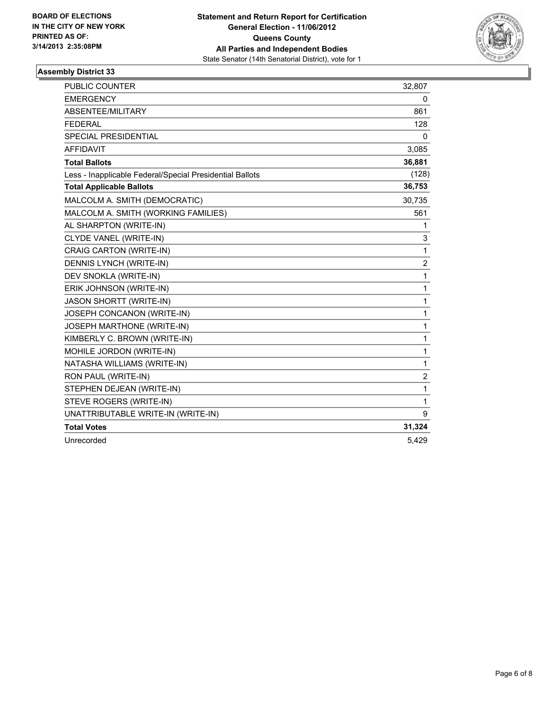

| <b>PUBLIC COUNTER</b>                                    | 32,807         |
|----------------------------------------------------------|----------------|
| <b>EMERGENCY</b>                                         | 0              |
| ABSENTEE/MILITARY                                        | 861            |
| <b>FEDERAL</b>                                           | 128            |
| <b>SPECIAL PRESIDENTIAL</b>                              | $\mathbf{0}$   |
| <b>AFFIDAVIT</b>                                         | 3,085          |
| <b>Total Ballots</b>                                     | 36,881         |
| Less - Inapplicable Federal/Special Presidential Ballots | (128)          |
| <b>Total Applicable Ballots</b>                          | 36,753         |
| MALCOLM A. SMITH (DEMOCRATIC)                            | 30,735         |
| MALCOLM A. SMITH (WORKING FAMILIES)                      | 561            |
| AL SHARPTON (WRITE-IN)                                   | 1              |
| CLYDE VANEL (WRITE-IN)                                   | 3              |
| CRAIG CARTON (WRITE-IN)                                  | 1              |
| DENNIS LYNCH (WRITE-IN)                                  | $\overline{2}$ |
| DEV SNOKLA (WRITE-IN)                                    | 1              |
| ERIK JOHNSON (WRITE-IN)                                  | 1              |
| <b>JASON SHORTT (WRITE-IN)</b>                           | 1              |
| JOSEPH CONCANON (WRITE-IN)                               | 1              |
| JOSEPH MARTHONE (WRITE-IN)                               | 1              |
| KIMBERLY C. BROWN (WRITE-IN)                             | 1              |
| MOHILE JORDON (WRITE-IN)                                 | 1              |
| NATASHA WILLIAMS (WRITE-IN)                              | 1              |
| RON PAUL (WRITE-IN)                                      | 2              |
| STEPHEN DEJEAN (WRITE-IN)                                | 1              |
| STEVE ROGERS (WRITE-IN)                                  | 1              |
| UNATTRIBUTABLE WRITE-IN (WRITE-IN)                       | 9              |
| <b>Total Votes</b>                                       | 31,324         |
| Unrecorded                                               | 5,429          |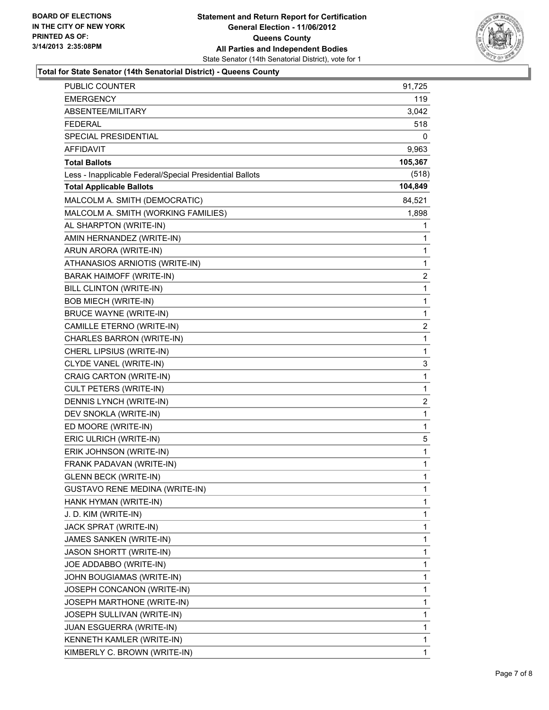

#### **Total for State Senator (14th Senatorial District) - Queens County**

| PUBLIC COUNTER                                           | 91,725  |
|----------------------------------------------------------|---------|
| EMERGENCY                                                | 119     |
| ABSENTEE/MILITARY                                        | 3,042   |
| <b>FEDERAL</b>                                           | 518     |
| SPECIAL PRESIDENTIAL                                     | 0       |
| <b>AFFIDAVIT</b>                                         | 9,963   |
| <b>Total Ballots</b>                                     | 105,367 |
| Less - Inapplicable Federal/Special Presidential Ballots | (518)   |
| <b>Total Applicable Ballots</b>                          | 104,849 |
| MALCOLM A. SMITH (DEMOCRATIC)                            | 84,521  |
| MALCOLM A. SMITH (WORKING FAMILIES)                      | 1,898   |
| AL SHARPTON (WRITE-IN)                                   | 1       |
| AMIN HERNANDEZ (WRITE-IN)                                | 1       |
| ARUN ARORA (WRITE-IN)                                    | 1       |
| ATHANASIOS ARNIOTIS (WRITE-IN)                           | 1       |
| <b>BARAK HAIMOFF (WRITE-IN)</b>                          | 2       |
| BILL CLINTON (WRITE-IN)                                  | 1       |
| <b>BOB MIECH (WRITE-IN)</b>                              | 1       |
| <b>BRUCE WAYNE (WRITE-IN)</b>                            | 1       |
| CAMILLE ETERNO (WRITE-IN)                                | 2       |
| CHARLES BARRON (WRITE-IN)                                | 1       |
| CHERL LIPSIUS (WRITE-IN)                                 | 1       |
| CLYDE VANEL (WRITE-IN)                                   | 3       |
| CRAIG CARTON (WRITE-IN)                                  | 1       |
| CULT PETERS (WRITE-IN)                                   | 1       |
| <b>DENNIS LYNCH (WRITE-IN)</b>                           | 2       |
| DEV SNOKLA (WRITE-IN)                                    | 1       |
| ED MOORE (WRITE-IN)                                      | 1       |
| ERIC ULRICH (WRITE-IN)                                   | 5       |
| ERIK JOHNSON (WRITE-IN)                                  | 1       |
| FRANK PADAVAN (WRITE-IN)                                 | 1       |
| <b>GLENN BECK (WRITE-IN)</b>                             | 1       |
| GUSTAVO RENE MEDINA (WRITE-IN)                           | 1       |
| HANK HYMAN (WRITE-IN)                                    | 1       |
| J. D. KIM (WRITE-IN)                                     | 1       |
| JACK SPRAT (WRITE-IN)                                    | 1       |
| JAMES SANKEN (WRITE-IN)                                  | 1       |
| JASON SHORTT (WRITE-IN)                                  | 1       |
| JOE ADDABBO (WRITE-IN)                                   | 1       |
| JOHN BOUGIAMAS (WRITE-IN)                                | 1       |
| JOSEPH CONCANON (WRITE-IN)                               | 1       |
| JOSEPH MARTHONE (WRITE-IN)                               | 1       |
| JOSEPH SULLIVAN (WRITE-IN)                               | 1       |
| JUAN ESGUERRA (WRITE-IN)                                 | 1       |
| KENNETH KAMLER (WRITE-IN)                                | 1       |
| KIMBERLY C. BROWN (WRITE-IN)                             | 1       |
|                                                          |         |